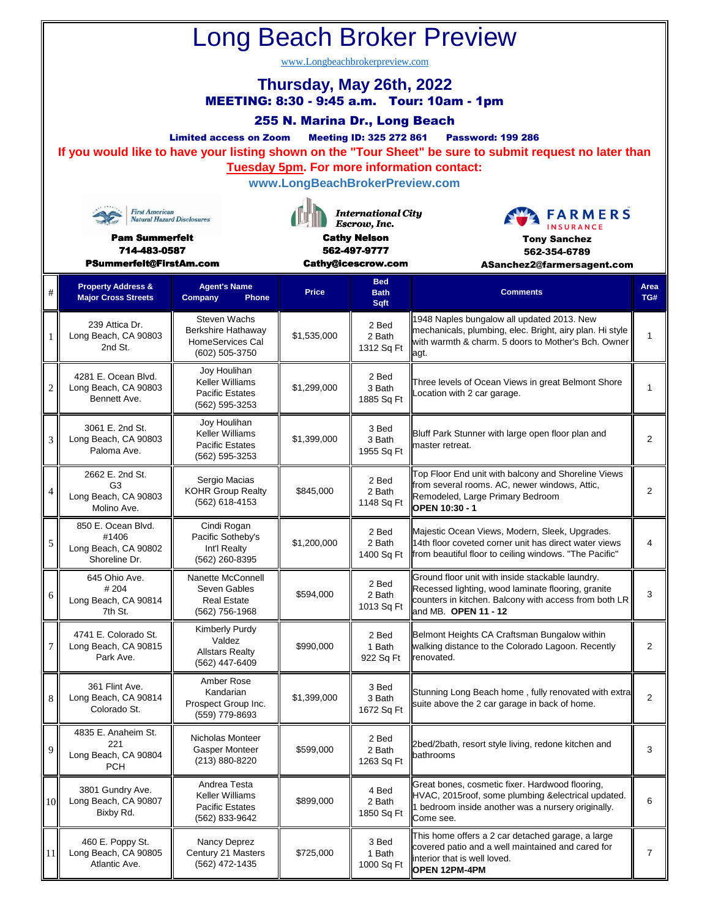| <b>Long Beach Broker Preview</b>                                                                                                                                                                                                                                                                                                                                                                                                            |                                                                          |                                                                                    |                                                                                                        |                                   |                                                                                                                                                                                         |                |  |  |  |  |  |  |
|---------------------------------------------------------------------------------------------------------------------------------------------------------------------------------------------------------------------------------------------------------------------------------------------------------------------------------------------------------------------------------------------------------------------------------------------|--------------------------------------------------------------------------|------------------------------------------------------------------------------------|--------------------------------------------------------------------------------------------------------|-----------------------------------|-----------------------------------------------------------------------------------------------------------------------------------------------------------------------------------------|----------------|--|--|--|--|--|--|
| www.Longbeachbrokerpreview.com<br>Thursday, May 26th, 2022<br>MEETING: 8:30 - 9:45 a.m. Tour: 10am - 1pm<br>255 N. Marina Dr., Long Beach<br><b>Meeting ID: 325 272 861</b><br><b>Limited access on Zoom</b><br><b>Password: 199 286</b><br>If you would like to have your listing shown on the "Tour Sheet" be sure to submit request no later than<br><b>Tuesday 5pm. For more information contact:</b><br>www.LongBeachBrokerPreview.com |                                                                          |                                                                                    |                                                                                                        |                                   |                                                                                                                                                                                         |                |  |  |  |  |  |  |
| <b>First American</b><br><b>Natural Hazard Disclosures</b><br><b>Pam Summerfelt</b><br>714-483-0587<br>PSummerfelt@FirstAm.com                                                                                                                                                                                                                                                                                                              |                                                                          |                                                                                    | <b>International City</b><br>Escrow, Inc.<br><b>Cathy Nelson</b><br>562-497-9777<br>Cathy@icescrow.com |                                   | <b>FARMERS</b><br><b>Tony Sanchez</b><br>562-354-6789<br>ASanchez2@farmersagent.com                                                                                                     |                |  |  |  |  |  |  |
| #                                                                                                                                                                                                                                                                                                                                                                                                                                           | <b>Property Address &amp;</b><br><b>Major Cross Streets</b>              | <b>Agent's Name</b><br>Company<br><b>Phone</b>                                     | <b>Price</b>                                                                                           | <b>Bed</b><br><b>Bath</b><br>Sqft | <b>Comments</b>                                                                                                                                                                         | Area<br>TG#    |  |  |  |  |  |  |
| -1                                                                                                                                                                                                                                                                                                                                                                                                                                          | 239 Attica Dr.<br>Long Beach, CA 90803<br>2nd St.                        | Steven Wachs<br>Berkshire Hathaway<br>HomeServices Cal<br>(602) 505-3750           | \$1,535,000                                                                                            | 2 Bed<br>2 Bath<br>1312 Sq Ft     | 1948 Naples bungalow all updated 2013. New<br>mechanicals, plumbing, elec. Bright, airy plan. Hi style<br>with warmth & charm. 5 doors to Mother's Bch. Owner<br>agt.                   | 1              |  |  |  |  |  |  |
| $\overline{2}$                                                                                                                                                                                                                                                                                                                                                                                                                              | 4281 E. Ocean Blvd.<br>Long Beach, CA 90803<br>Bennett Ave.              | Joy Houlihan<br><b>Keller Williams</b><br><b>Pacific Estates</b><br>(562) 595-3253 | \$1,299,000                                                                                            | 2 Bed<br>3 Bath<br>1885 Sq Ft     | Three levels of Ocean Views in great Belmont Shore<br>Location with 2 car garage.                                                                                                       | 1              |  |  |  |  |  |  |
| 3                                                                                                                                                                                                                                                                                                                                                                                                                                           | 3061 E. 2nd St.<br>Long Beach, CA 90803<br>Paloma Ave.                   | Joy Houlihan<br>Keller Williams<br><b>Pacific Estates</b><br>(562) 595-3253        | \$1,399,000                                                                                            | 3 Bed<br>3 Bath<br>1955 Sq Ft     | Bluff Park Stunner with large open floor plan and<br>master retreat.                                                                                                                    | $\overline{2}$ |  |  |  |  |  |  |
| $\overline{4}$                                                                                                                                                                                                                                                                                                                                                                                                                              | 2662 E. 2nd St.<br>G <sub>3</sub><br>Long Beach, CA 90803<br>Molino Ave. | Sergio Macias<br><b>KOHR Group Realty</b><br>(562) 618-4153                        | \$845,000                                                                                              | 2 Bed<br>2 Bath<br>1148 Sq Ft     | Top Floor End unit with balcony and Shoreline Views<br>from several rooms. AC, newer windows, Attic,<br>Remodeled, Large Primary Bedroom<br>OPEN 10:30 - 1                              | 2              |  |  |  |  |  |  |
| $\sqrt{5}$                                                                                                                                                                                                                                                                                                                                                                                                                                  | 850 E. Ocean Blvd.<br>#1406<br>Long Beach, CA 90802<br>Shoreline Dr.     | Cindi Rogan<br>Pacific Sotheby's<br>Int'l Realty<br>(562) 260-8395                 | \$1,200,000                                                                                            | 2 Bed<br>2 Bath<br>1400 Sq Ft     | Majestic Ocean Views, Modern, Sleek, Upgrades.<br>14th floor coveted corner unit has direct water views<br>from beautiful floor to ceiling windows. "The Pacific"                       | 4              |  |  |  |  |  |  |
| 6                                                                                                                                                                                                                                                                                                                                                                                                                                           | 645 Ohio Ave.<br>#204<br>Long Beach, CA 90814<br>7th St.                 | Nanette McConnell<br>Seven Gables<br><b>Real Estate</b><br>(562) 756-1968          | \$594,000                                                                                              | 2 Bed<br>2 Bath<br>1013 Sq Ft     | Ground floor unit with inside stackable laundry.<br>Recessed lighting, wood laminate flooring, granite<br>counters in kitchen. Balcony with access from both LR<br>and MB. OPEN 11 - 12 | 3              |  |  |  |  |  |  |
| 7                                                                                                                                                                                                                                                                                                                                                                                                                                           | 4741 E. Colorado St.<br>Long Beach, CA 90815<br>Park Ave.                | Kimberly Purdy<br>Valdez<br><b>Allstars Realty</b><br>(562) 447-6409               | \$990,000                                                                                              | 2 Bed<br>1 Bath<br>922 Sq Ft      | Belmont Heights CA Craftsman Bungalow within<br>walking distance to the Colorado Lagoon. Recently<br>renovated.                                                                         | 2              |  |  |  |  |  |  |
| 8                                                                                                                                                                                                                                                                                                                                                                                                                                           | 361 Flint Ave.<br>Long Beach, CA 90814<br>Colorado St.                   | Amber Rose<br>Kandarian<br>Prospect Group Inc.<br>(559) 779-8693                   | \$1,399,000                                                                                            | 3 Bed<br>3 Bath<br>1672 Sq Ft     | Stunning Long Beach home, fully renovated with extra<br>suite above the 2 car garage in back of home.                                                                                   | $\overline{2}$ |  |  |  |  |  |  |
| 9                                                                                                                                                                                                                                                                                                                                                                                                                                           | 4835 E. Anaheim St.<br>221<br>Long Beach, CA 90804<br><b>PCH</b>         | Nicholas Monteer<br><b>Gasper Monteer</b><br>(213) 880-8220                        | \$599,000                                                                                              | 2 Bed<br>2 Bath<br>1263 Sq Ft     | 2bed/2bath, resort style living, redone kitchen and<br>bathrooms                                                                                                                        | 3              |  |  |  |  |  |  |
| 10                                                                                                                                                                                                                                                                                                                                                                                                                                          | 3801 Gundry Ave.<br>Long Beach, CA 90807<br>Bixby Rd.                    | Andrea Testa<br>Keller Williams<br><b>Pacific Estates</b><br>(562) 833-9642        | \$899,000                                                                                              | 4 Bed<br>2 Bath<br>1850 Sq Ft     | Great bones, cosmetic fixer. Hardwood flooring,<br>HVAC, 2015roof, some plumbing & electrical updated.<br>1 bedroom inside another was a nursery originally.<br>Come see.               | 6              |  |  |  |  |  |  |
| 11                                                                                                                                                                                                                                                                                                                                                                                                                                          | 460 E. Poppy St.<br>Long Beach, CA 90805<br>Atlantic Ave.                | Nancy Deprez<br>Century 21 Masters<br>(562) 472-1435                               | \$725,000                                                                                              | 3 Bed<br>1 Bath<br>1000 Sq Ft     | This home offers a 2 car detached garage, a large<br>covered patio and a well maintained and cared for<br>interior that is well loved.<br><b>OPEN 12PM-4PM</b>                          | 7              |  |  |  |  |  |  |